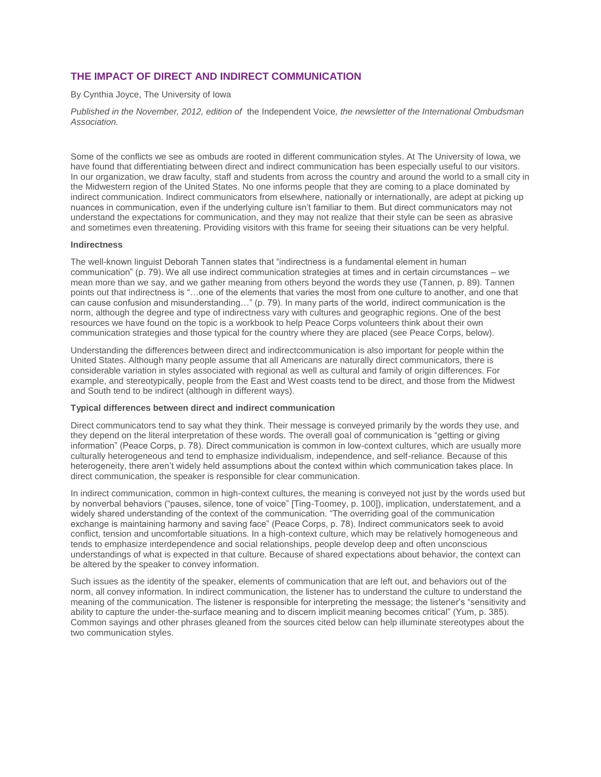# **THE IMPACT OF DIRECT AND INDIRECT COMMUNICATION**

### By Cynthia Joyce, The University of Iowa

*Published in the November, 2012, edition of* the Independent Voice*, the newsletter of the International Ombudsman Association.* 

Some of the conflicts we see as ombuds are rooted in different communication styles. At The University of Iowa, we have found that differentiating between direct and indirect communication has been especially useful to our visitors. In our organization, we draw faculty, staff and students from across the country and around the world to a small city in the Midwestern region of the United States. No one informs people that they are coming to a place dominated by indirect communication. Indirect communicators from elsewhere, nationally or internationally, are adept at picking up nuances in communication, even if the underlying culture isn't familiar to them. But direct communicators may not understand the expectations for communication, and they may not realize that their style can be seen as abrasive and sometimes even threatening. Providing visitors with this frame for seeing their situations can be very helpful.

### **Indirectness**

The well-known linguist Deborah Tannen states that "indirectness is a fundamental element in human communication" (p. 79). We all use indirect communication strategies at times and in certain circumstances – we mean more than we say, and we gather meaning from others beyond the words they use (Tannen, p. 89). Tannen points out that indirectness is "…one of the elements that varies the most from one culture to another, and one that can cause confusion and misunderstanding…" (p. 79). In many parts of the world, indirect communication is the norm, although the degree and type of indirectness vary with cultures and geographic regions. One of the best resources we have found on the topic is a workbook to help Peace Corps volunteers think about their own communication strategies and those typical for the country where they are placed (see Peace Corps, below).

Understanding the differences between direct and indirectcommunication is also important for people within the United States. Although many people assume that all Americans are naturally direct communicators, there is considerable variation in styles associated with regional as well as cultural and family of origin differences. For example, and stereotypically, people from the East and West coasts tend to be direct, and those from the Midwest and South tend to be indirect (although in different ways).

## **Typical differences between direct and indirect communication**

Direct communicators tend to say what they think. Their message is conveyed primarily by the words they use, and they depend on the literal interpretation of these words. The overall goal of communication is "getting or giving information" (Peace Corps, p. 78). Direct communication is common in low-context cultures, which are usually more culturally heterogeneous and tend to emphasize individualism, independence, and self-reliance. Because of this heterogeneity, there aren't widely held assumptions about the context within which communication takes place. In direct communication, the speaker is responsible for clear communication.

In indirect communication, common in high-context cultures, the meaning is conveyed not just by the words used but by nonverbal behaviors ("pauses, silence, tone of voice" [Ting-Toomey, p. 100]), implication, understatement, and a widely shared understanding of the context of the communication. "The overriding goal of the communication exchange is maintaining harmony and saving face" (Peace Corps, p. 78). Indirect communicators seek to avoid conflict, tension and uncomfortable situations. In a high-context culture, which may be relatively homogeneous and tends to emphasize interdependence and social relationships, people develop deep and often unconscious understandings of what is expected in that culture. Because of shared expectations about behavior, the context can be altered by the speaker to convey information.

Such issues as the identity of the speaker, elements of communication that are left out, and behaviors out of the norm, all convey information. In indirect communication, the listener has to understand the culture to understand the meaning of the communication. The listener is responsible for interpreting the message; the listener's "sensitivity and ability to capture the under-the-surface meaning and to discern implicit meaning becomes critical" (Yum, p. 385). Common sayings and other phrases gleaned from the sources cited below can help illuminate stereotypes about the two communication styles.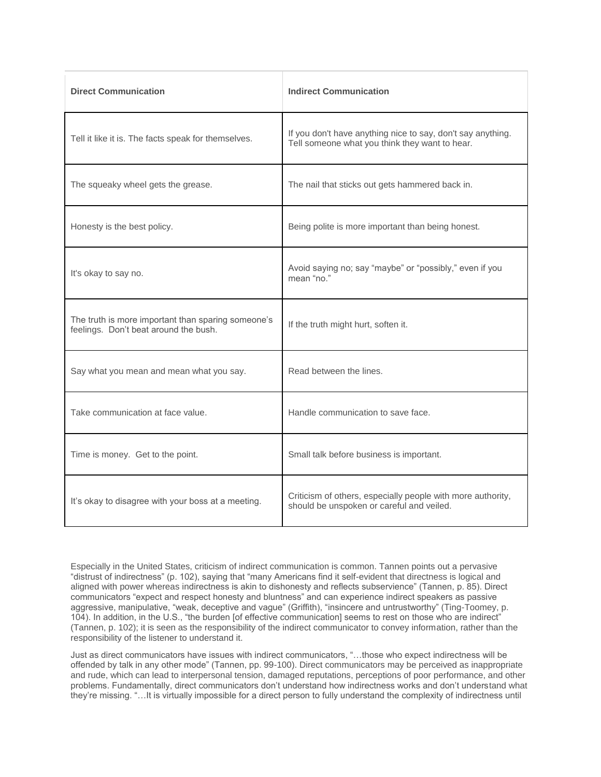| <b>Direct Communication</b>                                                                 | <b>Indirect Communication</b>                                                                                 |
|---------------------------------------------------------------------------------------------|---------------------------------------------------------------------------------------------------------------|
| Tell it like it is. The facts speak for themselves.                                         | If you don't have anything nice to say, don't say anything.<br>Tell someone what you think they want to hear. |
| The squeaky wheel gets the grease.                                                          | The nail that sticks out gets hammered back in.                                                               |
| Honesty is the best policy.                                                                 | Being polite is more important than being honest.                                                             |
| It's okay to say no.                                                                        | Avoid saying no; say "maybe" or "possibly," even if you<br>mean "no."                                         |
| The truth is more important than sparing someone's<br>feelings. Don't beat around the bush. | If the truth might hurt, soften it.                                                                           |
| Say what you mean and mean what you say.                                                    | Read between the lines.                                                                                       |
| Take communication at face value.                                                           | Handle communication to save face.                                                                            |
| Time is money. Get to the point.                                                            | Small talk before business is important.                                                                      |
| It's okay to disagree with your boss at a meeting.                                          | Criticism of others, especially people with more authority,<br>should be unspoken or careful and veiled.      |

Especially in the United States, criticism of indirect communication is common. Tannen points out a pervasive "distrust of indirectness" (p. 102), saying that "many Americans find it self-evident that directness is logical and aligned with power whereas indirectness is akin to dishonesty and reflects subservience" (Tannen, p. 85). Direct communicators "expect and respect honesty and bluntness" and can experience indirect speakers as passive aggressive, manipulative, "weak, deceptive and vague" (Griffith), "insincere and untrustworthy" (Ting-Toomey, p. 104). In addition, in the U.S., "the burden [of effective communication] seems to rest on those who are indirect" (Tannen, p. 102); it is seen as the responsibility of the indirect communicator to convey information, rather than the responsibility of the listener to understand it.

Just as direct communicators have issues with indirect communicators, "…those who expect indirectness will be offended by talk in any other mode" (Tannen, pp. 99-100). Direct communicators may be perceived as inappropriate and rude, which can lead to interpersonal tension, damaged reputations, perceptions of poor performance, and other problems. Fundamentally, direct communicators don't understand how indirectness works and don't understand what they're missing. "…It is virtually impossible for a direct person to fully understand the complexity of indirectness until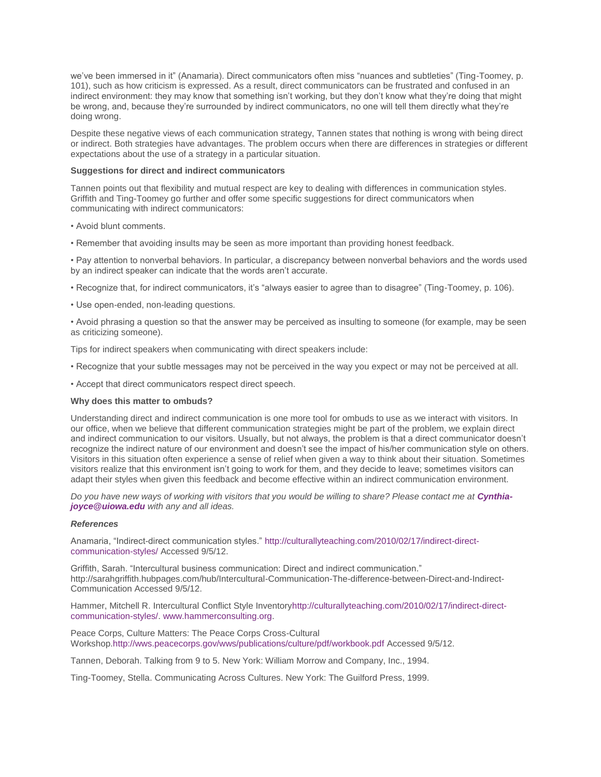we've been immersed in it" (Anamaria). Direct communicators often miss "nuances and subtleties" (Ting-Toomey, p. 101), such as how criticism is expressed. As a result, direct communicators can be frustrated and confused in an indirect environment: they may know that something isn't working, but they don't know what they're doing that might be wrong, and, because they're surrounded by indirect communicators, no one will tell them directly what they're doing wrong.

Despite these negative views of each communication strategy, Tannen states that nothing is wrong with being direct or indirect. Both strategies have advantages. The problem occurs when there are differences in strategies or different expectations about the use of a strategy in a particular situation.

#### **Suggestions for direct and indirect communicators**

Tannen points out that flexibility and mutual respect are key to dealing with differences in communication styles. Griffith and Ting-Toomey go further and offer some specific suggestions for direct communicators when communicating with indirect communicators:

- Avoid blunt comments.
- Remember that avoiding insults may be seen as more important than providing honest feedback.

• Pay attention to nonverbal behaviors. In particular, a discrepancy between nonverbal behaviors and the words used by an indirect speaker can indicate that the words aren't accurate.

• Recognize that, for indirect communicators, it's "always easier to agree than to disagree" (Ting-Toomey, p. 106).

• Use open-ended, non-leading questions.

• Avoid phrasing a question so that the answer may be perceived as insulting to someone (for example, may be seen as criticizing someone).

Tips for indirect speakers when communicating with direct speakers include:

- Recognize that your subtle messages may not be perceived in the way you expect or may not be perceived at all.
- Accept that direct communicators respect direct speech.

### **Why does this matter to ombuds?**

Understanding direct and indirect communication is one more tool for ombuds to use as we interact with visitors. In our office, when we believe that different communication strategies might be part of the problem, we explain direct and indirect communication to our visitors. Usually, but not always, the problem is that a direct communicator doesn't recognize the indirect nature of our environment and doesn't see the impact of his/her communication style on others. Visitors in this situation often experience a sense of relief when given a way to think about their situation. Sometimes visitors realize that this environment isn't going to work for them, and they decide to leave; sometimes visitors can adapt their styles when given this feedback and become effective within an indirect communication environment.

*Do you have new ways of working with visitors that you would be willing to share? Please contact me at [Cynthia](mailto:Cynthia-joyce@uiowa.edu)[joyce@uiowa.edu](mailto:Cynthia-joyce@uiowa.edu) with any and all ideas.*

### *References*

Anamaria, "Indirect-direct communication styles." [http://culturallyteaching.com/2010/02/17/indirect-direct](http://culturallyteaching.com/2010/02/17/indirect-direct-communication-styles/)[communication-styles/](http://culturallyteaching.com/2010/02/17/indirect-direct-communication-styles/) Accessed 9/5/12.

Griffith, Sarah. "Intercultural business communication: Direct and indirect communication." http://sarahgriffith.hubpages.com/hub/Intercultural-Communication-The-difference-between-Direct-and-Indirect-Communication Accessed 9/5/12.

Hammer, Mitchell R. Intercultural Conflict Style Inventor[yhttp://culturallyteaching.com/2010/02/17/indirect-direct](http://culturallyteaching.com/2010/02/17/indirect-direct-communication-styles/)[communication-styles/.](http://culturallyteaching.com/2010/02/17/indirect-direct-communication-styles/) [www.hammerconsulting.org.](http://www.hammerconsulting.org/)

Peace Corps, Culture Matters: The Peace Corps Cross-Cultural Workshop[.http://wws.peacecorps.gov/wws/publications/culture/pdf/workbook.pdf](http://wws.peacecorps.gov/wws/publications/culture/pdf/workbook.pdf) Accessed 9/5/12.

Tannen, Deborah. Talking from 9 to 5. New York: William Morrow and Company, Inc., 1994.

Ting-Toomey, Stella. Communicating Across Cultures. New York: The Guilford Press, 1999.